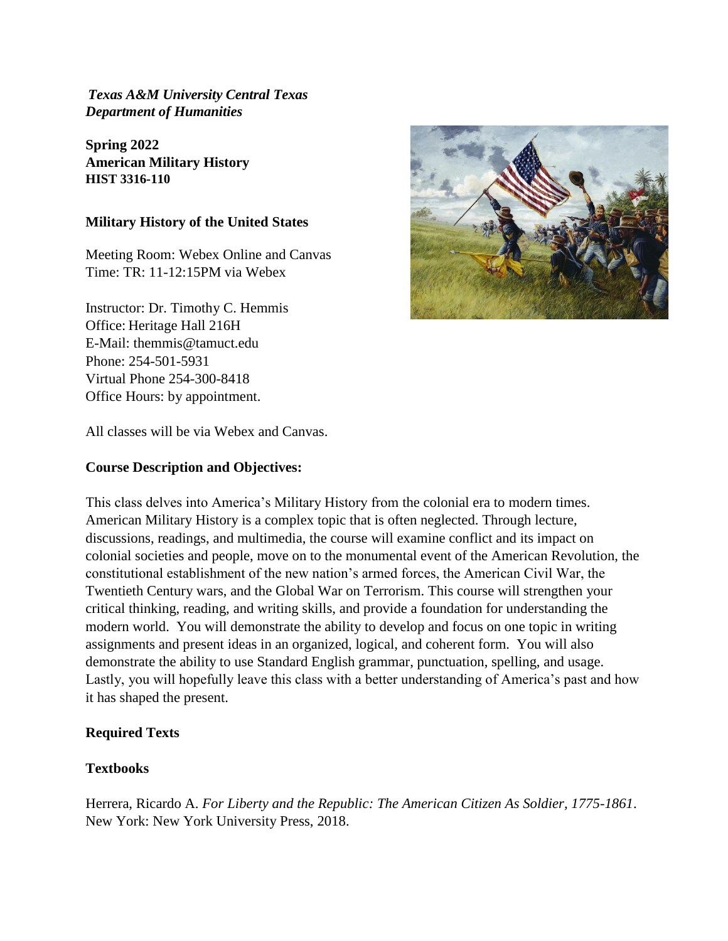*Texas A&M University Central Texas Department of Humanities* 

**Spring 2022 American Military History HIST 3316-110**

## **Military History of the United States**

Meeting Room: Webex Online and Canvas Time: TR: 11-12:15PM via Webex

Instructor: Dr. Timothy C. Hemmis Office: Heritage Hall 216H E-Mail: themmis@tamuct.edu Phone: 254-501-5931 Virtual Phone 254-300-8418 Office Hours: by appointment.

All classes will be via Webex and Canvas.

## **Course Description and Objectives:**

This class delves into America's Military History from the colonial era to modern times. American Military History is a complex topic that is often neglected. Through lecture, discussions, readings, and multimedia, the course will examine conflict and its impact on colonial societies and people, move on to the monumental event of the American Revolution, the constitutional establishment of the new nation's armed forces, the American Civil War, the Twentieth Century wars, and the Global War on Terrorism. This course will strengthen your critical thinking, reading, and writing skills, and provide a foundation for understanding the modern world. You will demonstrate the ability to develop and focus on one topic in writing assignments and present ideas in an organized, logical, and coherent form. You will also demonstrate the ability to use Standard English grammar, punctuation, spelling, and usage. Lastly, you will hopefully leave this class with a better understanding of America's past and how it has shaped the present.

## **Required Texts**

## **Textbooks**

Herrera, Ricardo A. *For Liberty and the Republic: The American Citizen As Soldier, 1775-1861*. New York: New York University Press, 2018.

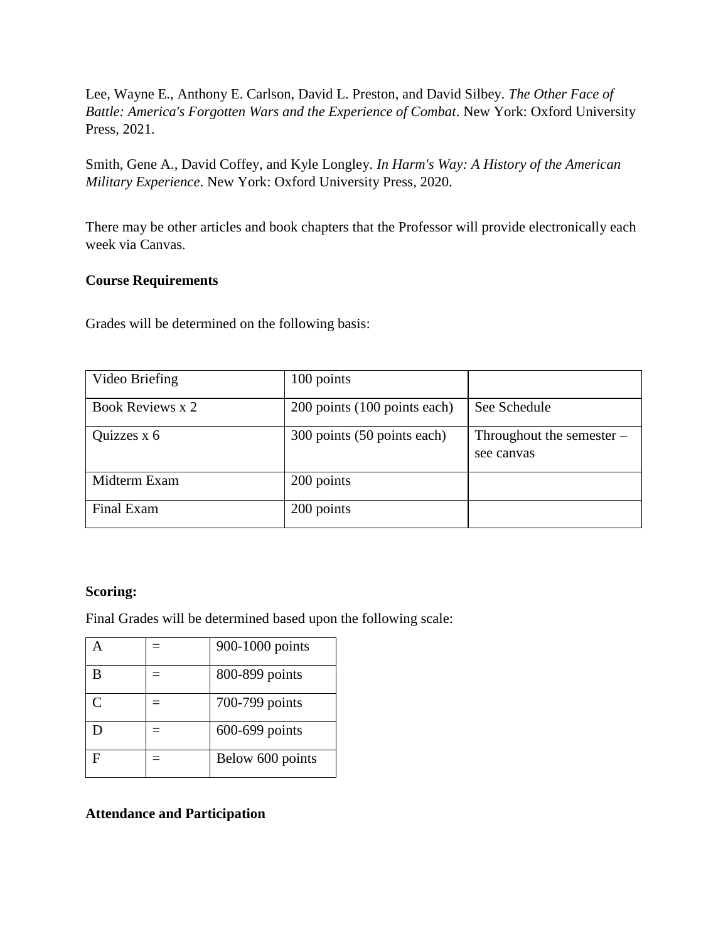Lee, Wayne E., Anthony E. Carlson, David L. Preston, and David Silbey. *The Other Face of Battle: America's Forgotten Wars and the Experience of Combat*. New York: Oxford University Press, 2021.

Smith, Gene A., David Coffey, and Kyle Longley. *In Harm's Way: A History of the American Military Experience*. New York: Oxford University Press, 2020.

There may be other articles and book chapters that the Professor will provide electronically each week via Canvas.

## **Course Requirements**

Grades will be determined on the following basis:

| Video Briefing   | 100 points                   |                                           |  |
|------------------|------------------------------|-------------------------------------------|--|
| Book Reviews x 2 | 200 points (100 points each) | See Schedule                              |  |
| Quizzes x 6      | 300 points (50 points each)  | Throughout the semester $-$<br>see canvas |  |
| Midterm Exam     | 200 points                   |                                           |  |
| Final Exam       | 200 points                   |                                           |  |

### **Scoring:**

Final Grades will be determined based upon the following scale:

|              | 900-1000 points  |
|--------------|------------------|
| B            | 800-899 points   |
| $\mathsf{C}$ | 700-799 points   |
|              | 600-699 points   |
|              | Below 600 points |

# **Attendance and Participation**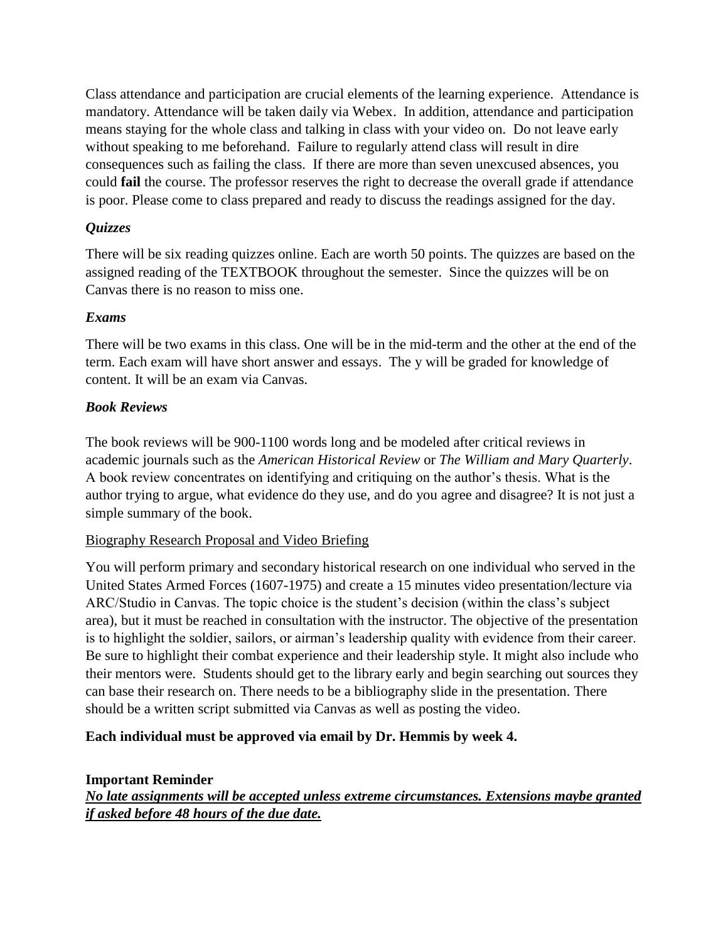Class attendance and participation are crucial elements of the learning experience. Attendance is mandatory. Attendance will be taken daily via Webex. In addition, attendance and participation means staying for the whole class and talking in class with your video on. Do not leave early without speaking to me beforehand. Failure to regularly attend class will result in dire consequences such as failing the class. If there are more than seven unexcused absences, you could **fail** the course. The professor reserves the right to decrease the overall grade if attendance is poor. Please come to class prepared and ready to discuss the readings assigned for the day.

# *Quizzes*

There will be six reading quizzes online. Each are worth 50 points. The quizzes are based on the assigned reading of the TEXTBOOK throughout the semester. Since the quizzes will be on Canvas there is no reason to miss one.

# *Exams*

There will be two exams in this class. One will be in the mid-term and the other at the end of the term. Each exam will have short answer and essays. The y will be graded for knowledge of content. It will be an exam via Canvas.

# *Book Reviews*

The book reviews will be 900-1100 words long and be modeled after critical reviews in academic journals such as the *American Historical Review* or *The William and Mary Quarterly*. A book review concentrates on identifying and critiquing on the author's thesis. What is the author trying to argue, what evidence do they use, and do you agree and disagree? It is not just a simple summary of the book.

## Biography Research Proposal and Video Briefing

You will perform primary and secondary historical research on one individual who served in the United States Armed Forces (1607-1975) and create a 15 minutes video presentation/lecture via ARC/Studio in Canvas. The topic choice is the student's decision (within the class's subject area), but it must be reached in consultation with the instructor. The objective of the presentation is to highlight the soldier, sailors, or airman's leadership quality with evidence from their career. Be sure to highlight their combat experience and their leadership style. It might also include who their mentors were. Students should get to the library early and begin searching out sources they can base their research on. There needs to be a bibliography slide in the presentation. There should be a written script submitted via Canvas as well as posting the video.

# **Each individual must be approved via email by Dr. Hemmis by week 4.**

## **Important Reminder**

*No late assignments will be accepted unless extreme circumstances. Extensions maybe granted if asked before 48 hours of the due date.*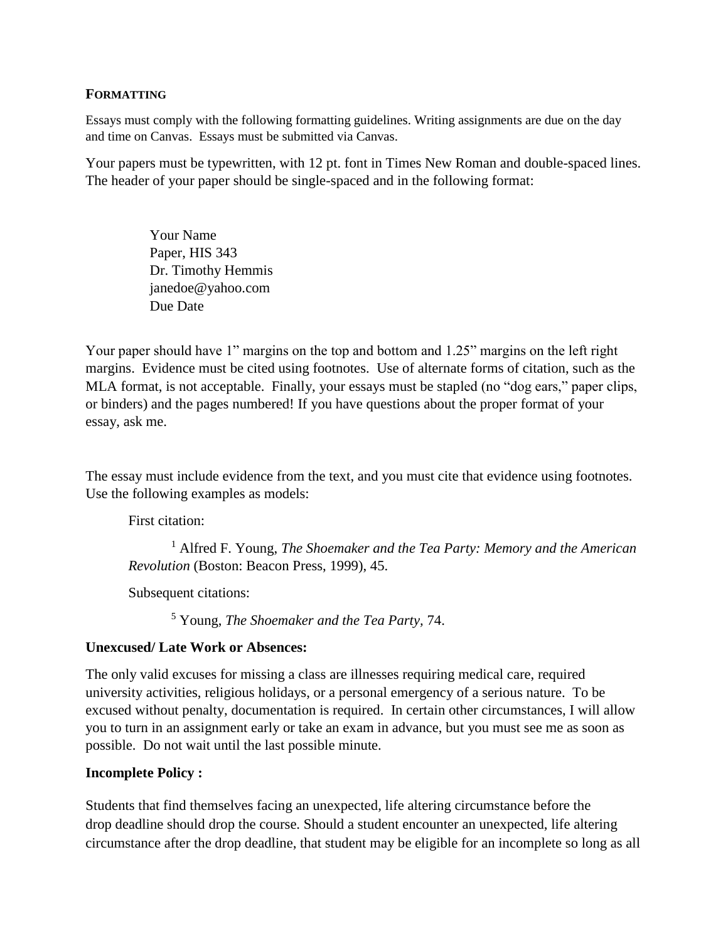### **FORMATTING**

Essays must comply with the following formatting guidelines. Writing assignments are due on the day and time on Canvas. Essays must be submitted via Canvas.

Your papers must be typewritten, with 12 pt. font in Times New Roman and double-spaced lines. The header of your paper should be single-spaced and in the following format:

> Your Name Paper, HIS 343 Dr. Timothy Hemmis janedoe@yahoo.com Due Date

Your paper should have 1" margins on the top and bottom and 1.25" margins on the left right margins. Evidence must be cited using footnotes. Use of alternate forms of citation, such as the MLA format, is not acceptable. Finally, your essays must be stapled (no "dog ears," paper clips, or binders) and the pages numbered! If you have questions about the proper format of your essay, ask me.

The essay must include evidence from the text, and you must cite that evidence using footnotes. Use the following examples as models:

First citation:

<sup>1</sup> Alfred F. Young, *The Shoemaker and the Tea Party: Memory and the American Revolution* (Boston: Beacon Press, 1999), 45.

Subsequent citations:

<sup>5</sup> Young, *The Shoemaker and the Tea Party,* 74.

## **Unexcused/ Late Work or Absences:**

The only valid excuses for missing a class are illnesses requiring medical care, required university activities, religious holidays, or a personal emergency of a serious nature. To be excused without penalty, documentation is required. In certain other circumstances, I will allow you to turn in an assignment early or take an exam in advance, but you must see me as soon as possible. Do not wait until the last possible minute.

#### **Incomplete Policy :**

Students that find themselves facing an unexpected, life altering circumstance before the drop deadline should drop the course. Should a student encounter an unexpected, life altering circumstance after the drop deadline, that student may be eligible for an incomplete so long as all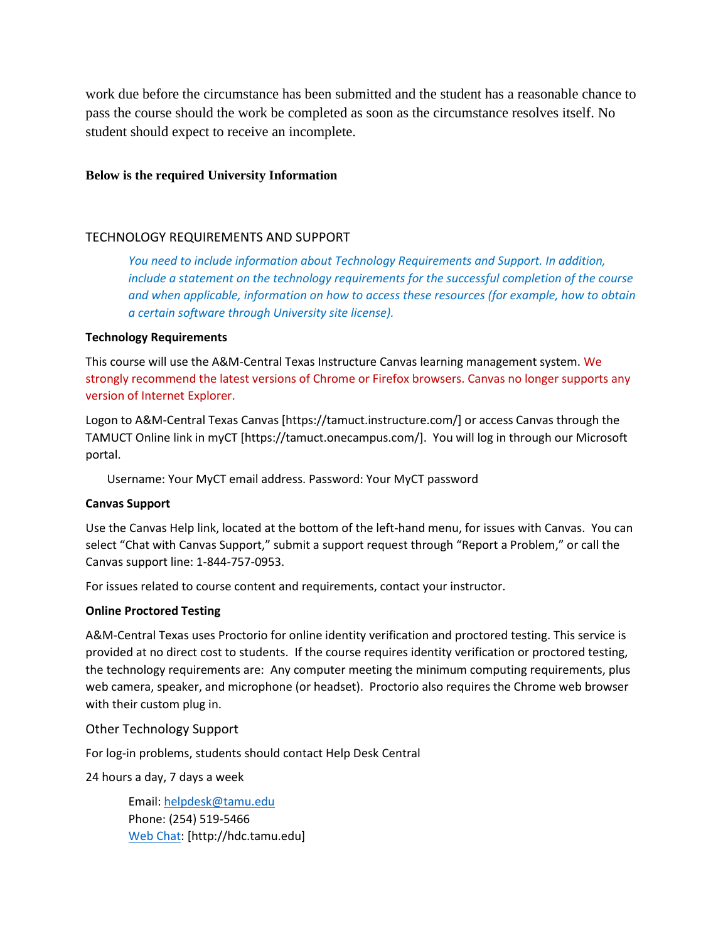work due before the circumstance has been submitted and the student has a reasonable chance to pass the course should the work be completed as soon as the circumstance resolves itself. No student should expect to receive an incomplete.

#### **Below is the required University Information**

### TECHNOLOGY REQUIREMENTS AND SUPPORT

*You need to include information about Technology Requirements and Support. In addition, include a statement on the technology requirements for the successful completion of the course and when applicable, information on how to access these resources (for example, how to obtain a certain software through University site license).* 

#### **Technology Requirements**

This course will use the A&M-Central Texas Instructure Canvas learning management system. We strongly recommend the latest versions of Chrome or Firefox browsers. Canvas no longer supports any version of Internet Explorer.

Logon to A&M-Central Texas Canvas [https://tamuct.instructure.com/] or access Canvas through the TAMUCT Online link in myCT [https://tamuct.onecampus.com/]. You will log in through our Microsoft portal.

Username: Your MyCT email address. Password: Your MyCT password

#### **Canvas Support**

Use the Canvas Help link, located at the bottom of the left-hand menu, for issues with Canvas. You can select "Chat with Canvas Support," submit a support request through "Report a Problem," or call the Canvas support line: 1-844-757-0953.

For issues related to course content and requirements, contact your instructor.

#### **Online Proctored Testing**

A&M-Central Texas uses Proctorio for online identity verification and proctored testing. This service is provided at no direct cost to students. If the course requires identity verification or proctored testing, the technology requirements are: Any computer meeting the minimum computing requirements, plus web camera, speaker, and microphone (or headset). Proctorio also requires the Chrome web browser with their custom plug in.

#### Other Technology Support

For log-in problems, students should contact Help Desk Central

24 hours a day, 7 days a week

Email: [helpdesk@tamu.edu](mailto:helpdesk@tamu.edu) Phone: (254) 519-5466 [Web Chat:](http://hdc.tamu.edu/) [http://hdc.tamu.edu]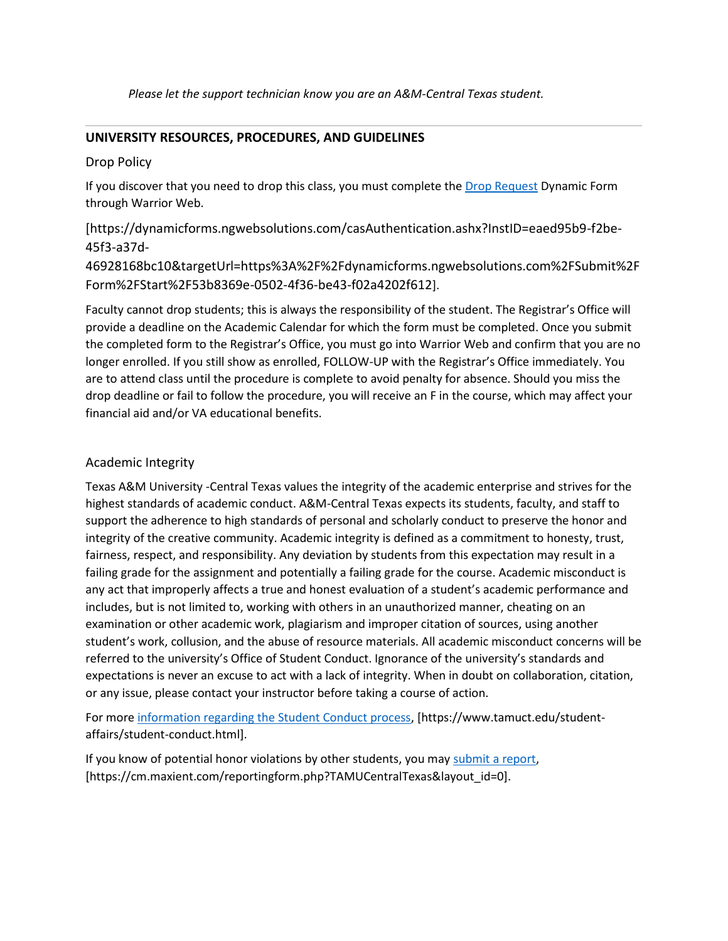*Please let the support technician know you are an A&M-Central Texas student.*

## **UNIVERSITY RESOURCES, PROCEDURES, AND GUIDELINES**

### Drop Policy

If you discover that you need to drop this class, you must complete the [Drop Request](https://dynamicforms.ngwebsolutions.com/casAuthentication.ashx?InstID=eaed95b9-f2be-45f3-a37d-46928168bc10&targetUrl=https%3A%2F%2Fdynamicforms.ngwebsolutions.com%2FSubmit%2FForm%2FStart%2F53b8369e-0502-4f36-be43-f02a4202f612) Dynamic Form through Warrior Web.

[https://dynamicforms.ngwebsolutions.com/casAuthentication.ashx?InstID=eaed95b9-f2be-45f3-a37d-

46928168bc10&targetUrl=https%3A%2F%2Fdynamicforms.ngwebsolutions.com%2FSubmit%2F Form%2FStart%2F53b8369e-0502-4f36-be43-f02a4202f612].

Faculty cannot drop students; this is always the responsibility of the student. The Registrar's Office will provide a deadline on the Academic Calendar for which the form must be completed. Once you submit the completed form to the Registrar's Office, you must go into Warrior Web and confirm that you are no longer enrolled. If you still show as enrolled, FOLLOW-UP with the Registrar's Office immediately. You are to attend class until the procedure is complete to avoid penalty for absence. Should you miss the drop deadline or fail to follow the procedure, you will receive an F in the course, which may affect your financial aid and/or VA educational benefits.

### Academic Integrity

Texas A&M University -Central Texas values the integrity of the academic enterprise and strives for the highest standards of academic conduct. A&M-Central Texas expects its students, faculty, and staff to support the adherence to high standards of personal and scholarly conduct to preserve the honor and integrity of the creative community. Academic integrity is defined as a commitment to honesty, trust, fairness, respect, and responsibility. Any deviation by students from this expectation may result in a failing grade for the assignment and potentially a failing grade for the course. Academic misconduct is any act that improperly affects a true and honest evaluation of a student's academic performance and includes, but is not limited to, working with others in an unauthorized manner, cheating on an examination or other academic work, plagiarism and improper citation of sources, using another student's work, collusion, and the abuse of resource materials. All academic misconduct concerns will be referred to the university's Office of Student Conduct. Ignorance of the university's standards and expectations is never an excuse to act with a lack of integrity. When in doubt on collaboration, citation, or any issue, please contact your instructor before taking a course of action.

For mor[e information regarding the Student Conduct process,](https://www.tamuct.edu/student-affairs/student-conduct.html) [https://www.tamuct.edu/studentaffairs/student-conduct.html].

If you know of potential honor violations by other students, you may [submit a report,](https://cm.maxient.com/reportingform.php?TAMUCentralTexas&layout_id=0) [https://cm.maxient.com/reportingform.php?TAMUCentralTexas&layout\_id=0].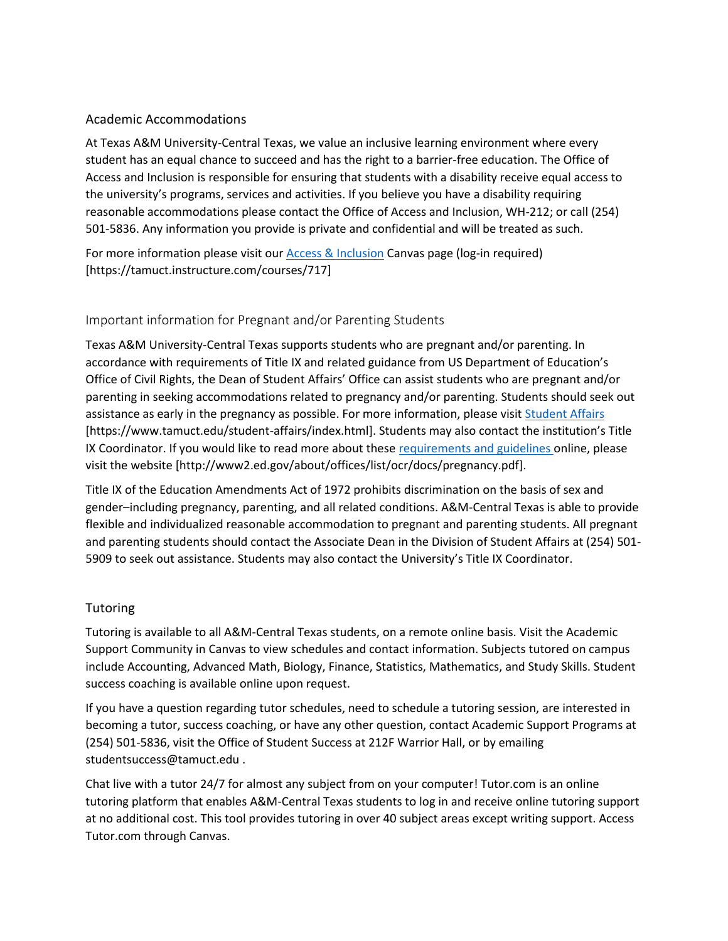### Academic Accommodations

At Texas A&M University-Central Texas, we value an inclusive learning environment where every student has an equal chance to succeed and has the right to a barrier-free education. The Office of Access and Inclusion is responsible for ensuring that students with a disability receive equal access to the university's programs, services and activities. If you believe you have a disability requiring reasonable accommodations please contact the Office of Access and Inclusion, WH-212; or call (254) 501-5836. Any information you provide is private and confidential and will be treated as such.

For more information please visit our [Access & Inclusion](https://tamuct.instructure.com/courses/717) Canvas page (log-in required) [https://tamuct.instructure.com/courses/717]

## Important information for Pregnant and/or Parenting Students

Texas A&M University-Central Texas supports students who are pregnant and/or parenting. In accordance with requirements of Title IX and related guidance from US Department of Education's Office of Civil Rights, the Dean of Student Affairs' Office can assist students who are pregnant and/or parenting in seeking accommodations related to pregnancy and/or parenting. Students should seek out assistance as early in the pregnancy as possible. For more information, please visi[t Student Affairs](https://www.tamuct.edu/student-affairs/index.html) [https://www.tamuct.edu/student-affairs/index.html]. Students may also contact the institution's Title IX Coordinator. If you would like to read more about these [requirements and guidelines](http://www2.ed.gov/about/offices/list/ocr/docs/pregnancy.pdf) online, please visit the website [http://www2.ed.gov/about/offices/list/ocr/docs/pregnancy.pdf].

Title IX of the Education Amendments Act of 1972 prohibits discrimination on the basis of sex and gender–including pregnancy, parenting, and all related conditions. A&M-Central Texas is able to provide flexible and individualized reasonable accommodation to pregnant and parenting students. All pregnant and parenting students should contact the Associate Dean in the Division of Student Affairs at (254) 501- 5909 to seek out assistance. Students may also contact the University's Title IX Coordinator.

### **Tutoring**

Tutoring is available to all A&M-Central Texas students, on a remote online basis. Visit the Academic Support Community in Canvas to view schedules and contact information. Subjects tutored on campus include Accounting, Advanced Math, Biology, Finance, Statistics, Mathematics, and Study Skills. Student success coaching is available online upon request.

If you have a question regarding tutor schedules, need to schedule a tutoring session, are interested in becoming a tutor, success coaching, or have any other question, contact Academic Support Programs at (254) 501-5836, visit the Office of Student Success at 212F Warrior Hall, or by emailing studentsuccess@tamuct.edu .

Chat live with a tutor 24/7 for almost any subject from on your computer! Tutor.com is an online tutoring platform that enables A&M-Central Texas students to log in and receive online tutoring support at no additional cost. This tool provides tutoring in over 40 subject areas except writing support. Access Tutor.com through Canvas.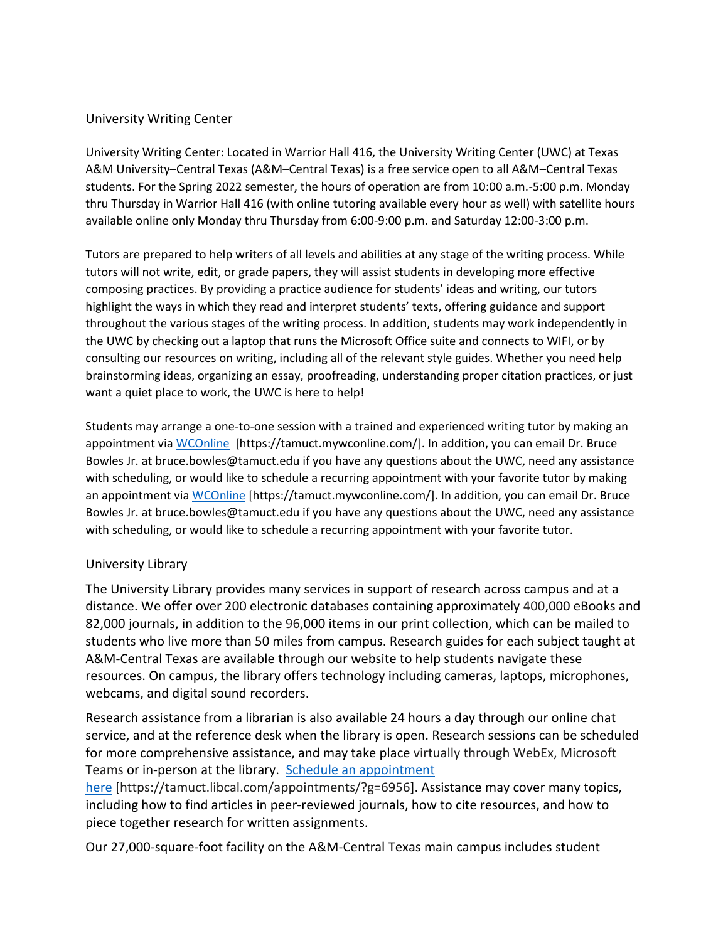### University Writing Center

University Writing Center: Located in Warrior Hall 416, the University Writing Center (UWC) at Texas A&M University–Central Texas (A&M–Central Texas) is a free service open to all A&M–Central Texas students. For the Spring 2022 semester, the hours of operation are from 10:00 a.m.-5:00 p.m. Monday thru Thursday in Warrior Hall 416 (with online tutoring available every hour as well) with satellite hours available online only Monday thru Thursday from 6:00-9:00 p.m. and Saturday 12:00-3:00 p.m.

Tutors are prepared to help writers of all levels and abilities at any stage of the writing process. While tutors will not write, edit, or grade papers, they will assist students in developing more effective composing practices. By providing a practice audience for students' ideas and writing, our tutors highlight the ways in which they read and interpret students' texts, offering guidance and support throughout the various stages of the writing process. In addition, students may work independently in the UWC by checking out a laptop that runs the Microsoft Office suite and connects to WIFI, or by consulting our resources on writing, including all of the relevant style guides. Whether you need help brainstorming ideas, organizing an essay, proofreading, understanding proper citation practices, or just want a quiet place to work, the UWC is here to help!

Students may arrange a one-to-one session with a trained and experienced writing tutor by making an appointment via [WCOnline](https://tamuct.mywconline.com/) [https://tamuct.mywconline.com/]. In addition, you can email Dr. Bruce Bowles Jr. at bruce.bowles@tamuct.edu if you have any questions about the UWC, need any assistance with scheduling, or would like to schedule a recurring appointment with your favorite tutor by making an appointment vi[a WCOnline](https://tamuct.mywconline.com/) [https://tamuct.mywconline.com/]. In addition, you can email Dr. Bruce Bowles Jr. at bruce.bowles@tamuct.edu if you have any questions about the UWC, need any assistance with scheduling, or would like to schedule a recurring appointment with your favorite tutor.

### University Library

The University Library provides many services in support of research across campus and at a distance. We offer over 200 electronic databases containing approximately 400,000 eBooks and 82,000 journals, in addition to the 96,000 items in our print collection, which can be mailed to students who live more than 50 miles from campus. Research guides for each subject taught at A&M-Central Texas are available through our website to help students navigate these resources. On campus, the library offers technology including cameras, laptops, microphones, webcams, and digital sound recorders.

Research assistance from a librarian is also available 24 hours a day through our online chat service, and at the reference desk when the library is open. Research sessions can be scheduled for more comprehensive assistance, and may take place virtually through WebEx, Microsoft Teams or in-person at the library. Schedule an [appointment](https://nam04.safelinks.protection.outlook.com/?url=https%3A%2F%2Ftamuct.libcal.com%2Fappointments%2F%3Fg%3D6956&data=04%7C01%7Clisa.bunkowski%40tamuct.edu%7Cde2c07d9f5804f09518008d9ab7ba6ff%7C9eed4e3000f744849ff193ad8005acec%7C0%7C0%7C637729369835011558%7CUnknown%7CTWFpbGZsb3d8eyJWIjoiMC4wLjAwMDAiLCJQIjoiV2luMzIiLCJBTiI6Ik1haWwiLCJXVCI6Mn0%3D%7C3000&sdata=KhtjgRSAw9aq%2FoBsB6wyu8b7PSuGN5EGPypzr3Ty2No%3D&reserved=0)

[here](https://nam04.safelinks.protection.outlook.com/?url=https%3A%2F%2Ftamuct.libcal.com%2Fappointments%2F%3Fg%3D6956&data=04%7C01%7Clisa.bunkowski%40tamuct.edu%7Cde2c07d9f5804f09518008d9ab7ba6ff%7C9eed4e3000f744849ff193ad8005acec%7C0%7C0%7C637729369835011558%7CUnknown%7CTWFpbGZsb3d8eyJWIjoiMC4wLjAwMDAiLCJQIjoiV2luMzIiLCJBTiI6Ik1haWwiLCJXVCI6Mn0%3D%7C3000&sdata=KhtjgRSAw9aq%2FoBsB6wyu8b7PSuGN5EGPypzr3Ty2No%3D&reserved=0) [https://tamuct.libcal.com/appointments/?g=6956]. Assistance may cover many topics, including how to find articles in peer-reviewed journals, how to cite resources, and how to piece together research for written assignments.

Our 27,000-square-foot facility on the A&M-Central Texas main campus includes student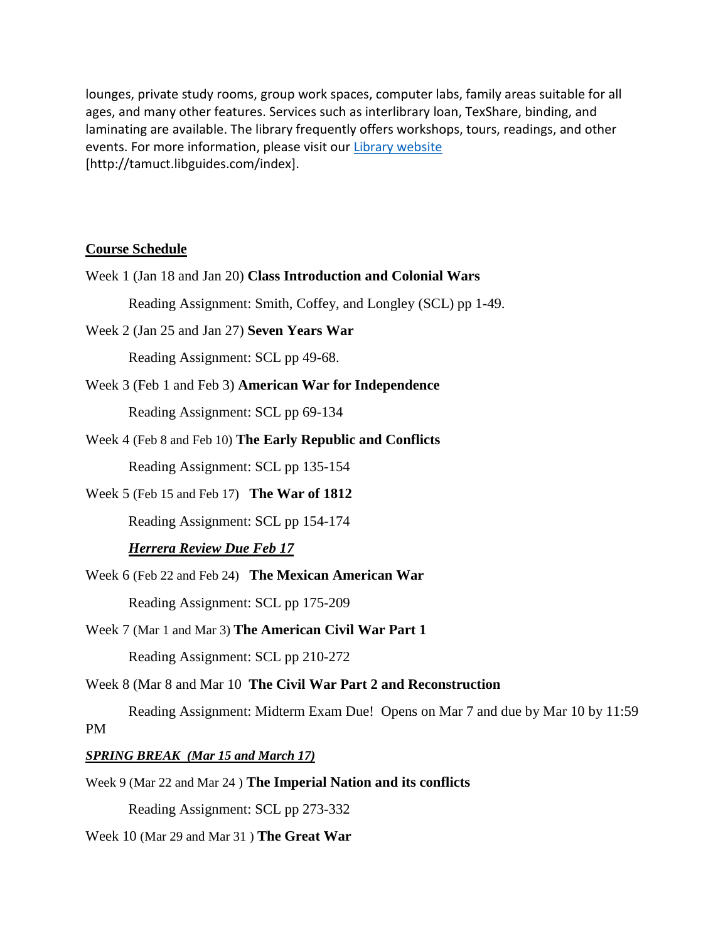lounges, private study rooms, group work spaces, computer labs, family areas suitable for all ages, and many other features. Services such as interlibrary loan, TexShare, binding, and laminating are available. The library frequently offers workshops, tours, readings, and other events. For more information, please visit our Library [website](https://nam04.safelinks.protection.outlook.com/?url=https%3A%2F%2Ftamuct.libguides.com%2Findex&data=04%7C01%7Clisa.bunkowski%40tamuct.edu%7C7d8489e8839a4915335f08d916f067f2%7C9eed4e3000f744849ff193ad8005acec%7C0%7C0%7C637566044056484222%7CUnknown%7CTWFpbGZsb3d8eyJWIjoiMC4wLjAwMDAiLCJQIjoiV2luMzIiLCJBTiI6Ik1haWwiLCJXVCI6Mn0%3D%7C1000&sdata=2R755V6rcIyedGrd4Os5rkgn1PvhHKU3kUV1vBKiHFo%3D&reserved=0) [http://tamuct.libguides.com/index].

## **Course Schedule**

10 by 11:59

Reading Assignment: SCL pp 273-332

Week 10 (Mar 29 and Mar 31 ) **The Great War**